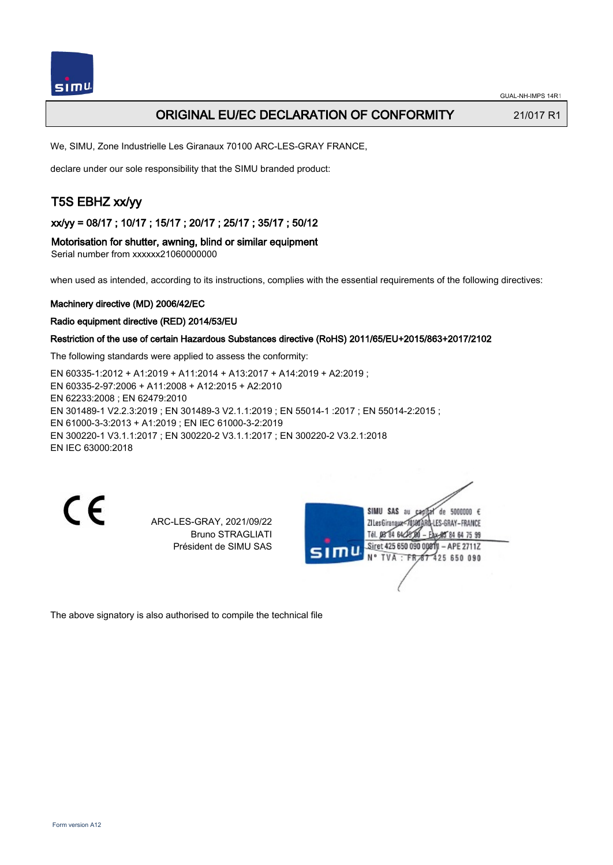

## ORIGINAL EU/EC DECLARATION OF CONFORMITY 21/017 R1

We, SIMU, Zone Industrielle Les Giranaux 70100 ARC-LES-GRAY FRANCE,

declare under our sole responsibility that the SIMU branded product:

# T5S EBHZ xx/yy

xx/yy = 08/17 ; 10/17 ; 15/17 ; 20/17 ; 25/17 ; 35/17 ; 50/12

Motorisation for shutter, awning, blind or similar equipment

Serial number from xxxxxx21060000000

when used as intended, according to its instructions, complies with the essential requirements of the following directives:

#### Machinery directive (MD) 2006/42/EC

Radio equipment directive (RED) 2014/53/EU

#### Restriction of the use of certain Hazardous Substances directive (RoHS) 2011/65/EU+2015/863+2017/2102

The following standards were applied to assess the conformity:

EN 60335‑1:2012 + A1:2019 + A11:2014 + A13:2017 + A14:2019 + A2:2019 ; EN 60335‑2‑97:2006 + A11:2008 + A12:2015 + A2:2010 EN 62233:2008 ; EN 62479:2010 EN 301489‑1 V2.2.3:2019 ; EN 301489‑3 V2.1.1:2019 ; EN 55014‑1 :2017 ; EN 55014‑2:2015 ; EN 61000‑3‑3:2013 + A1:2019 ; EN IEC 61000‑3‑2:2019 EN 300220‑1 V3.1.1:2017 ; EN 300220‑2 V3.1.1:2017 ; EN 300220‑2 V3.2.1:2018 EN IEC 63000:2018

CE

ARC-LES-GRAY, 2021/09/22 Bruno STRAGLIATI Président de SIMU SAS

de 5000000  $\epsilon$ SIMU SAS au ZI Les Giranaux=70180ARQ-LES-GRAY-FRANCE Tél. 08 84 64 28 00 95 84 64 75 99 Siret 425 650 090 0001)I – APE 2711Z  $47425650090$ **TVA FR** 

The above signatory is also authorised to compile the technical file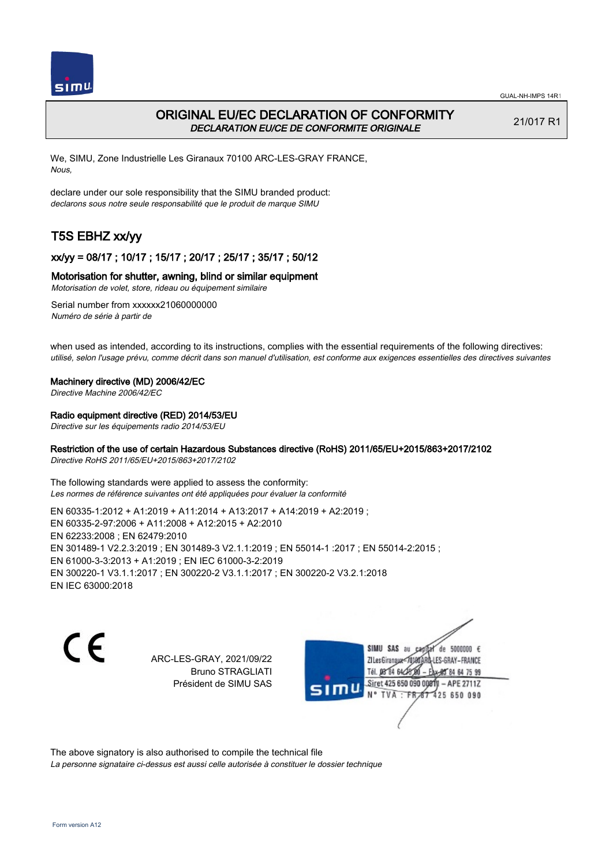

## ORIGINAL EU/EC DECLARATION OF CONFORMITY DECLARATION EU/CE DE CONFORMITE ORIGINALE

21/017 R1

We, SIMU, Zone Industrielle Les Giranaux 70100 ARC-LES-GRAY FRANCE, Nous,

declare under our sole responsibility that the SIMU branded product: declarons sous notre seule responsabilité que le produit de marque SIMU

# T5S EBHZ xx/yy

## xx/yy = 08/17 ; 10/17 ; 15/17 ; 20/17 ; 25/17 ; 35/17 ; 50/12

## Motorisation for shutter, awning, blind or similar equipment

Motorisation de volet, store, rideau ou équipement similaire

Serial number from xxxxxx21060000000 Numéro de série à partir de

when used as intended, according to its instructions, complies with the essential requirements of the following directives: utilisé, selon l'usage prévu, comme décrit dans son manuel d'utilisation, est conforme aux exigences essentielles des directives suivantes

#### Machinery directive (MD) 2006/42/EC

Directive Machine 2006/42/EC

#### Radio equipment directive (RED) 2014/53/EU

Directive sur les équipements radio 2014/53/EU

### Restriction of the use of certain Hazardous Substances directive (RoHS) 2011/65/EU+2015/863+2017/2102

Directive RoHS 2011/65/EU+2015/863+2017/2102

The following standards were applied to assess the conformity: Les normes de référence suivantes ont été appliquées pour évaluer la conformité

EN 60335‑1:2012 + A1:2019 + A11:2014 + A13:2017 + A14:2019 + A2:2019 ; EN 60335‑2‑97:2006 + A11:2008 + A12:2015 + A2:2010 EN 62233:2008 ; EN 62479:2010 EN 301489‑1 V2.2.3:2019 ; EN 301489‑3 V2.1.1:2019 ; EN 55014‑1 :2017 ; EN 55014‑2:2015 ; EN 61000‑3‑3:2013 + A1:2019 ; EN IEC 61000‑3‑2:2019 EN 300220‑1 V3.1.1:2017 ; EN 300220‑2 V3.1.1:2017 ; EN 300220‑2 V3.2.1:2018 EN IEC 63000:2018

CE

ARC-LES-GRAY, 2021/09/22 Bruno STRAGLIATI Président de SIMU SAS

SIMU SAS au de 5000000 € **ZILes Giranaux** ES-GRAY-FRANCE 64 75 99 Siret 425 650 090 00811  $-$  APE 2711Z 425 650 090

The above signatory is also authorised to compile the technical file La personne signataire ci-dessus est aussi celle autorisée à constituer le dossier technique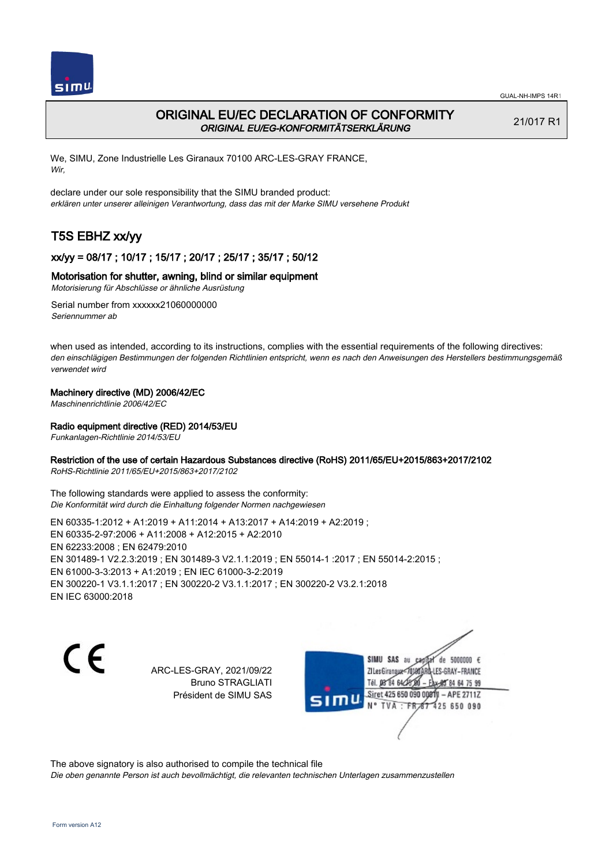

# ORIGINAL EU/EC DECLARATION OF CONFORMITY ORIGINAL EU/EG-KONFORMITÄTSERKLÄRUNG

21/017 R1

We, SIMU, Zone Industrielle Les Giranaux 70100 ARC-LES-GRAY FRANCE, Wir,

declare under our sole responsibility that the SIMU branded product: erklären unter unserer alleinigen Verantwortung, dass das mit der Marke SIMU versehene Produkt

# T5S EBHZ xx/yy

## xx/yy = 08/17 ; 10/17 ; 15/17 ; 20/17 ; 25/17 ; 35/17 ; 50/12

### Motorisation for shutter, awning, blind or similar equipment

Motorisierung für Abschlüsse or ähnliche Ausrüstung

Serial number from xxxxxx21060000000 Seriennummer ab

when used as intended, according to its instructions, complies with the essential requirements of the following directives: den einschlägigen Bestimmungen der folgenden Richtlinien entspricht, wenn es nach den Anweisungen des Herstellers bestimmungsgemäß verwendet wird

## Machinery directive (MD) 2006/42/EC

Maschinenrichtlinie 2006/42/EC

## Radio equipment directive (RED) 2014/53/EU

Funkanlagen-Richtlinie 2014/53/EU

### Restriction of the use of certain Hazardous Substances directive (RoHS) 2011/65/EU+2015/863+2017/2102

RoHS-Richtlinie 2011/65/EU+2015/863+2017/2102

The following standards were applied to assess the conformity: Die Konformität wird durch die Einhaltung folgender Normen nachgewiesen

EN 60335‑1:2012 + A1:2019 + A11:2014 + A13:2017 + A14:2019 + A2:2019 ; EN 60335‑2‑97:2006 + A11:2008 + A12:2015 + A2:2010 EN 62233:2008 ; EN 62479:2010 EN 301489‑1 V2.2.3:2019 ; EN 301489‑3 V2.1.1:2019 ; EN 55014‑1 :2017 ; EN 55014‑2:2015 ; EN 61000‑3‑3:2013 + A1:2019 ; EN IEC 61000‑3‑2:2019 EN 300220‑1 V3.1.1:2017 ; EN 300220‑2 V3.1.1:2017 ; EN 300220‑2 V3.2.1:2018 EN IEC 63000:2018

C E

ARC-LES-GRAY, 2021/09/22 Bruno STRAGLIATI Président de SIMU SAS



The above signatory is also authorised to compile the technical file

Die oben genannte Person ist auch bevollmächtigt, die relevanten technischen Unterlagen zusammenzustellen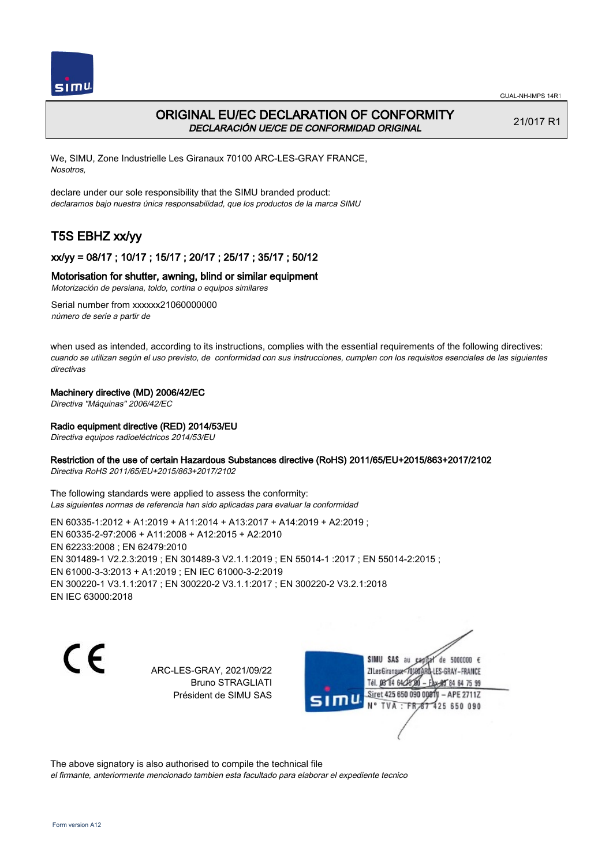



# ORIGINAL EU/EC DECLARATION OF CONFORMITY DECLARACIÓN UE/CE DE CONFORMIDAD ORIGINAL

21/017 R1

We, SIMU, Zone Industrielle Les Giranaux 70100 ARC-LES-GRAY FRANCE, Nosotros,

declare under our sole responsibility that the SIMU branded product: declaramos bajo nuestra única responsabilidad, que los productos de la marca SIMU

# T5S EBHZ xx/yy

## xx/yy = 08/17 ; 10/17 ; 15/17 ; 20/17 ; 25/17 ; 35/17 ; 50/12

### Motorisation for shutter, awning, blind or similar equipment

Motorización de persiana, toldo, cortina o equipos similares

Serial number from xxxxxx21060000000 número de serie a partir de

when used as intended, according to its instructions, complies with the essential requirements of the following directives: cuando se utilizan según el uso previsto, de conformidad con sus instrucciones, cumplen con los requisitos esenciales de las siguientes directivas

### Machinery directive (MD) 2006/42/EC

Directiva "Máquinas" 2006/42/EC

## Radio equipment directive (RED) 2014/53/EU

Directiva equipos radioeléctricos 2014/53/EU

### Restriction of the use of certain Hazardous Substances directive (RoHS) 2011/65/EU+2015/863+2017/2102

Directiva RoHS 2011/65/EU+2015/863+2017/2102

The following standards were applied to assess the conformity: Las siguientes normas de referencia han sido aplicadas para evaluar la conformidad

EN 60335‑1:2012 + A1:2019 + A11:2014 + A13:2017 + A14:2019 + A2:2019 ; EN 60335‑2‑97:2006 + A11:2008 + A12:2015 + A2:2010 EN 62233:2008 ; EN 62479:2010 EN 301489‑1 V2.2.3:2019 ; EN 301489‑3 V2.1.1:2019 ; EN 55014‑1 :2017 ; EN 55014‑2:2015 ; EN 61000‑3‑3:2013 + A1:2019 ; EN IEC 61000‑3‑2:2019 EN 300220‑1 V3.1.1:2017 ; EN 300220‑2 V3.1.1:2017 ; EN 300220‑2 V3.2.1:2018 EN IEC 63000:2018

C E

ARC-LES-GRAY, 2021/09/22 Bruno STRAGLIATI Président de SIMU SAS

SIMU SAS au de 5000000  $\epsilon$ ZI Les Giranaux</r01 ES-GRAY-FRANCE Tél. 08 84 64 25 Siret 425 650 090 00811 - APE 2711Z TVA : FR 67 425 650 090

The above signatory is also authorised to compile the technical file

el firmante, anteriormente mencionado tambien esta facultado para elaborar el expediente tecnico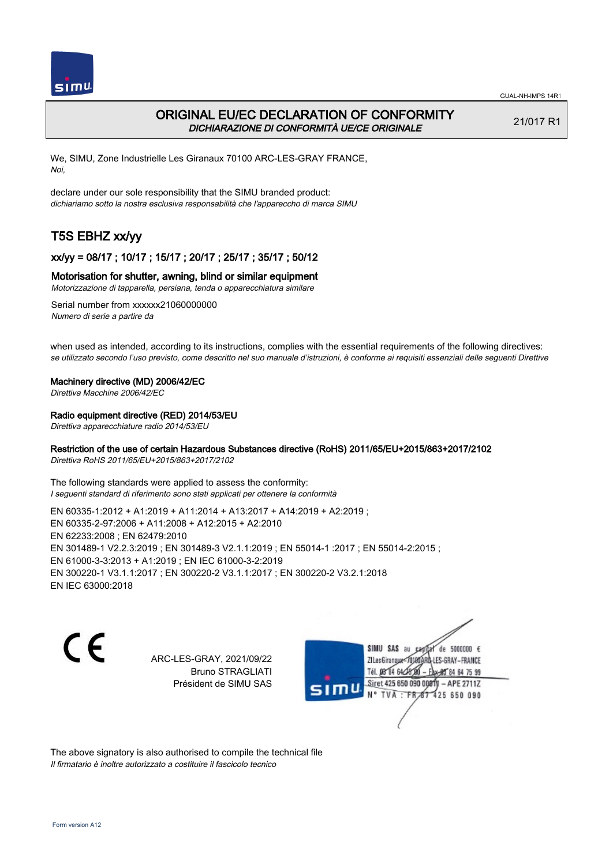

## ORIGINAL EU/EC DECLARATION OF CONFORMITY DICHIARAZIONE DI CONFORMITÀ UE/CE ORIGINALE

21/017 R1

We, SIMU, Zone Industrielle Les Giranaux 70100 ARC-LES-GRAY FRANCE, Noi,

declare under our sole responsibility that the SIMU branded product: dichiariamo sotto la nostra esclusiva responsabilità che l'appareccho di marca SIMU

# T5S EBHZ xx/yy

## xx/yy = 08/17 ; 10/17 ; 15/17 ; 20/17 ; 25/17 ; 35/17 ; 50/12

#### Motorisation for shutter, awning, blind or similar equipment

Motorizzazione di tapparella, persiana, tenda o apparecchiatura similare

Serial number from xxxxxx21060000000 Numero di serie a partire da

when used as intended, according to its instructions, complies with the essential requirements of the following directives: se utilizzato secondo l'uso previsto, come descritto nel suo manuale d'istruzioni, è conforme ai requisiti essenziali delle seguenti Direttive

#### Machinery directive (MD) 2006/42/EC

Direttiva Macchine 2006/42/EC

#### Radio equipment directive (RED) 2014/53/EU

Direttiva apparecchiature radio 2014/53/EU

### Restriction of the use of certain Hazardous Substances directive (RoHS) 2011/65/EU+2015/863+2017/2102

Direttiva RoHS 2011/65/EU+2015/863+2017/2102

The following standards were applied to assess the conformity: I seguenti standard di riferimento sono stati applicati per ottenere la conformità

EN 60335‑1:2012 + A1:2019 + A11:2014 + A13:2017 + A14:2019 + A2:2019 ; EN 60335‑2‑97:2006 + A11:2008 + A12:2015 + A2:2010 EN 62233:2008 ; EN 62479:2010 EN 301489‑1 V2.2.3:2019 ; EN 301489‑3 V2.1.1:2019 ; EN 55014‑1 :2017 ; EN 55014‑2:2015 ; EN 61000‑3‑3:2013 + A1:2019 ; EN IEC 61000‑3‑2:2019 EN 300220‑1 V3.1.1:2017 ; EN 300220‑2 V3.1.1:2017 ; EN 300220‑2 V3.2.1:2018 EN IEC 63000:2018

C E

ARC-LES-GRAY, 2021/09/22 Bruno STRAGLIATI Président de SIMU SAS

SIMU SAS au de 5000000 € **ZILes Giranaux** ES-GRAY-FRANCE 64 75 99 Siret 425 650 090 00811  $-$  APE 2711Z TVA 425 650 090

The above signatory is also authorised to compile the technical file Il firmatario è inoltre autorizzato a costituire il fascicolo tecnico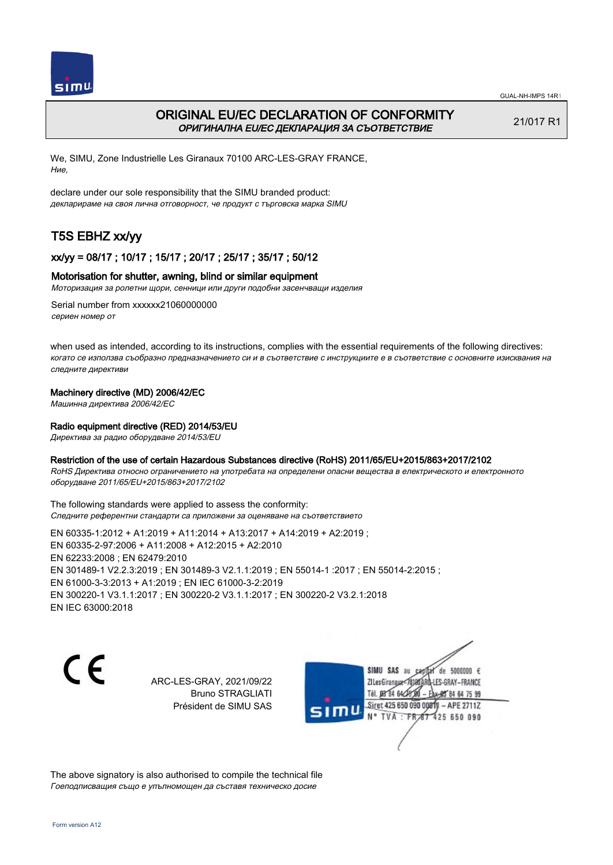



# ORIGINAL EU/EC DECLARATION OF CONFORMITY ОРИГИНАЛНА EU/EC ДЕКЛАРАЦИЯ ЗА СЪОТВЕТСТВИЕ

21/017 R1

We, SIMU, Zone Industrielle Les Giranaux 70100 ARC-LES-GRAY FRANCE, Ние,

declare under our sole responsibility that the SIMU branded product: декларираме на своя лична отговорност, че продукт с търговска марка SIMU

# T5S EBHZ xx/yy

## xx/yy = 08/17 ; 10/17 ; 15/17 ; 20/17 ; 25/17 ; 35/17 ; 50/12

### Motorisation for shutter, awning, blind or similar equipment

Моторизация за ролетни щори, сенници или други подобни засенчващи изделия

Serial number from xxxxxx21060000000 сериен номер от

when used as intended, according to its instructions, complies with the essential requirements of the following directives: когато се използва съобразно предназначението си и в съответствие с инструкциите е в съответствие с основните изисквания на следните директиви

### Machinery directive (MD) 2006/42/EC

Машинна директива 2006/42/EC

### Radio equipment directive (RED) 2014/53/EU

Директива за радио оборудване 2014/53/EU

#### Restriction of the use of certain Hazardous Substances directive (RoHS) 2011/65/EU+2015/863+2017/2102

RoHS Директива относно ограничението на употребата на определени опасни вещества в електрическото и електронното оборудване 2011/65/EU+2015/863+2017/2102

The following standards were applied to assess the conformity: Следните референтни стандарти са приложени за оценяване на съответствието

EN 60335‑1:2012 + A1:2019 + A11:2014 + A13:2017 + A14:2019 + A2:2019 ; EN 60335‑2‑97:2006 + A11:2008 + A12:2015 + A2:2010 EN 62233:2008 ; EN 62479:2010 EN 301489‑1 V2.2.3:2019 ; EN 301489‑3 V2.1.1:2019 ; EN 55014‑1 :2017 ; EN 55014‑2:2015 ; EN 61000‑3‑3:2013 + A1:2019 ; EN IEC 61000‑3‑2:2019 EN 300220‑1 V3.1.1:2017 ; EN 300220‑2 V3.1.1:2017 ; EN 300220‑2 V3.2.1:2018 EN IEC 63000:2018

C E

ARC-LES-GRAY, 2021/09/22 Bruno STRAGLIATI Président de SIMU SAS



The above signatory is also authorised to compile the technical file Гоеподписващия също е упълномощен да съставя техническо досие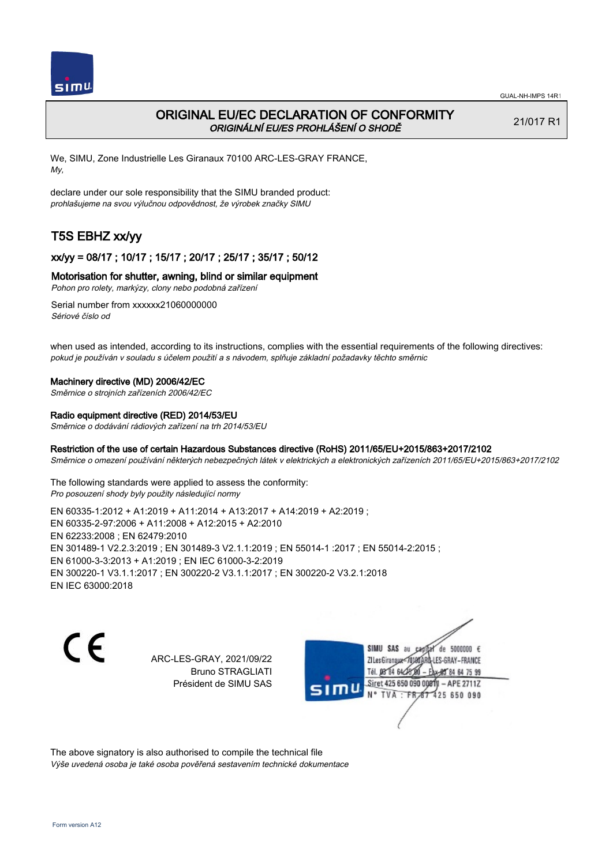

## ORIGINAL EU/EC DECLARATION OF CONFORMITY ORIGINÁLNÍ EU/ES PROHLÁŠENÍ O SHODĚ

21/017 R1

We, SIMU, Zone Industrielle Les Giranaux 70100 ARC-LES-GRAY FRANCE, My,

declare under our sole responsibility that the SIMU branded product: prohlašujeme na svou výlučnou odpovědnost, že výrobek značky SIMU

# T5S EBHZ xx/yy

## xx/yy = 08/17 ; 10/17 ; 15/17 ; 20/17 ; 25/17 ; 35/17 ; 50/12

#### Motorisation for shutter, awning, blind or similar equipment

Pohon pro rolety, markýzy, clony nebo podobná zařízení

Serial number from xxxxxx21060000000 Sériové číslo od

when used as intended, according to its instructions, complies with the essential requirements of the following directives: pokud je používán v souladu s účelem použití a s návodem, splňuje základní požadavky těchto směrnic

#### Machinery directive (MD) 2006/42/EC

Směrnice o strojních zařízeních 2006/42/EC

#### Radio equipment directive (RED) 2014/53/EU

Směrnice o dodávání rádiových zařízení na trh 2014/53/EU

#### Restriction of the use of certain Hazardous Substances directive (RoHS) 2011/65/EU+2015/863+2017/2102

Směrnice o omezení používání některých nebezpečných látek v elektrických a elektronických zařízeních 2011/65/EU+2015/863+2017/2102

The following standards were applied to assess the conformity: Pro posouzení shody byly použity následující normy

EN 60335‑1:2012 + A1:2019 + A11:2014 + A13:2017 + A14:2019 + A2:2019 ; EN 60335‑2‑97:2006 + A11:2008 + A12:2015 + A2:2010 EN 62233:2008 ; EN 62479:2010 EN 301489‑1 V2.2.3:2019 ; EN 301489‑3 V2.1.1:2019 ; EN 55014‑1 :2017 ; EN 55014‑2:2015 ; EN 61000‑3‑3:2013 + A1:2019 ; EN IEC 61000‑3‑2:2019 EN 300220‑1 V3.1.1:2017 ; EN 300220‑2 V3.1.1:2017 ; EN 300220‑2 V3.2.1:2018 EN IEC 63000:2018

C E

ARC-LES-GRAY, 2021/09/22 Bruno STRAGLIATI Président de SIMU SAS

SIMU SAS au de 5000000  $\epsilon$ **ZILesGiranaux** ES-GRAY-FRANCE 64 75 99 Siret 425 650 090 00811  $-$  APE 2711Z **TVA** 425 650 090

The above signatory is also authorised to compile the technical file Výše uvedená osoba je také osoba pověřená sestavením technické dokumentace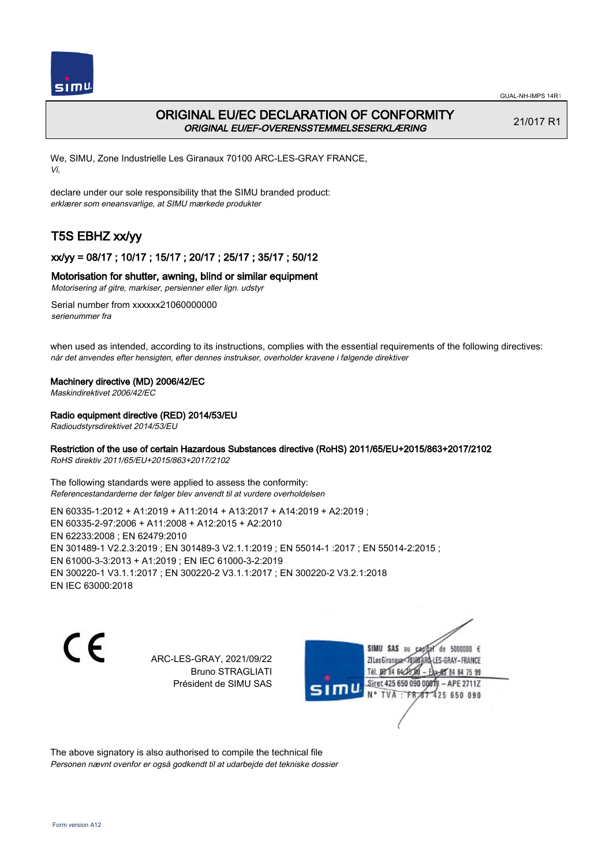



# ORIGINAL EU/EC DECLARATION OF CONFORMITY ORIGINAL EU/EF-OVERENSSTEMMELSESERKLÆRING

21/017 R1

We, SIMU, Zone Industrielle Les Giranaux 70100 ARC-LES-GRAY FRANCE, Vi,

declare under our sole responsibility that the SIMU branded product: erklærer som eneansvarlige, at SIMU mærkede produkter

# T5S EBHZ xx/yy

## xx/yy = 08/17 ; 10/17 ; 15/17 ; 20/17 ; 25/17 ; 35/17 ; 50/12

### Motorisation for shutter, awning, blind or similar equipment

Motorisering af gitre, markiser, persienner eller lign. udstyr

Serial number from xxxxxx21060000000 serienummer fra

when used as intended, according to its instructions, complies with the essential requirements of the following directives: når det anvendes efter hensigten, efter dennes instrukser, overholder kravene i følgende direktiver

#### Machinery directive (MD) 2006/42/EC

Maskindirektivet 2006/42/EC

### Radio equipment directive (RED) 2014/53/EU

Radioudstyrsdirektivet 2014/53/EU

### Restriction of the use of certain Hazardous Substances directive (RoHS) 2011/65/EU+2015/863+2017/2102

RoHS direktiv 2011/65/EU+2015/863+2017/2102

The following standards were applied to assess the conformity: Referencestandarderne der følger blev anvendt til at vurdere overholdelsen

EN 60335‑1:2012 + A1:2019 + A11:2014 + A13:2017 + A14:2019 + A2:2019 ; EN 60335‑2‑97:2006 + A11:2008 + A12:2015 + A2:2010 EN 62233:2008 ; EN 62479:2010 EN 301489‑1 V2.2.3:2019 ; EN 301489‑3 V2.1.1:2019 ; EN 55014‑1 :2017 ; EN 55014‑2:2015 ; EN 61000‑3‑3:2013 + A1:2019 ; EN IEC 61000‑3‑2:2019 EN 300220‑1 V3.1.1:2017 ; EN 300220‑2 V3.1.1:2017 ; EN 300220‑2 V3.2.1:2018 EN IEC 63000:2018

CE

ARC-LES-GRAY, 2021/09/22 Bruno STRAGLIATI Président de SIMU SAS

SIMU SAS au de 5000000 € **ZILesGirangux** ES-GRAY-FRANCE 64 75 99 Siret 425 650 090 00811  $-$  APE 2711Z **TVA** 425 650 090

The above signatory is also authorised to compile the technical file Personen nævnt ovenfor er også godkendt til at udarbejde det tekniske dossier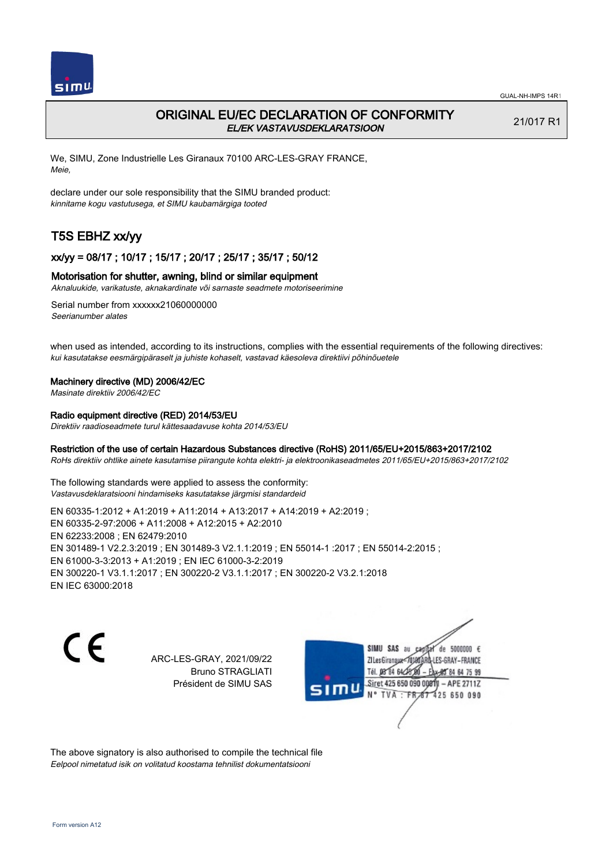

## ORIGINAL EU/EC DECLARATION OF CONFORMITY EL/EK VASTAVUSDEKLARATSIOON

21/017 R1

We, SIMU, Zone Industrielle Les Giranaux 70100 ARC-LES-GRAY FRANCE, Meie,

declare under our sole responsibility that the SIMU branded product: kinnitame kogu vastutusega, et SIMU kaubamärgiga tooted

# T5S EBHZ xx/yy

### xx/yy = 08/17 ; 10/17 ; 15/17 ; 20/17 ; 25/17 ; 35/17 ; 50/12

#### Motorisation for shutter, awning, blind or similar equipment

Aknaluukide, varikatuste, aknakardinate või sarnaste seadmete motoriseerimine

Serial number from xxxxxx21060000000 Seerianumber alates

when used as intended, according to its instructions, complies with the essential requirements of the following directives: kui kasutatakse eesmärgipäraselt ja juhiste kohaselt, vastavad käesoleva direktiivi põhinõuetele

#### Machinery directive (MD) 2006/42/EC

Masinate direktiiv 2006/42/EC

## Radio equipment directive (RED) 2014/53/EU

Direktiiv raadioseadmete turul kättesaadavuse kohta 2014/53/EU

### Restriction of the use of certain Hazardous Substances directive (RoHS) 2011/65/EU+2015/863+2017/2102

RoHs direktiiv ohtlike ainete kasutamise piirangute kohta elektri- ja elektroonikaseadmetes 2011/65/EU+2015/863+2017/2102

The following standards were applied to assess the conformity: Vastavusdeklaratsiooni hindamiseks kasutatakse järgmisi standardeid

EN 60335‑1:2012 + A1:2019 + A11:2014 + A13:2017 + A14:2019 + A2:2019 ; EN 60335‑2‑97:2006 + A11:2008 + A12:2015 + A2:2010 EN 62233:2008 ; EN 62479:2010 EN 301489‑1 V2.2.3:2019 ; EN 301489‑3 V2.1.1:2019 ; EN 55014‑1 :2017 ; EN 55014‑2:2015 ; EN 61000‑3‑3:2013 + A1:2019 ; EN IEC 61000‑3‑2:2019 EN 300220‑1 V3.1.1:2017 ; EN 300220‑2 V3.1.1:2017 ; EN 300220‑2 V3.2.1:2018 EN IEC 63000:2018

C E

ARC-LES-GRAY, 2021/09/22 Bruno STRAGLIATI Président de SIMU SAS

SIMU SAS au de 5000000  $\epsilon$ **ZILes Giranaux** ES-GRAY-FRANCE 64 75 99 Siret 425 650 090 00811  $-$  APE 2711Z **TVA** 425 650 090

The above signatory is also authorised to compile the technical file Eelpool nimetatud isik on volitatud koostama tehnilist dokumentatsiooni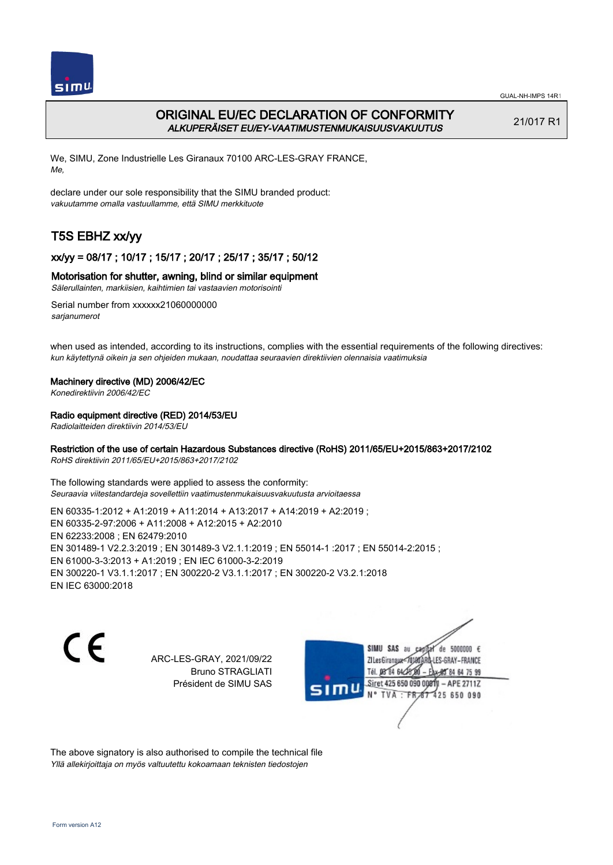

# ORIGINAL EU/EC DECLARATION OF CONFORMITY ALKUPERÄISET EU/EY-VAATIMUSTENMUKAISUUSVAKUUTUS

21/017 R1

We, SIMU, Zone Industrielle Les Giranaux 70100 ARC-LES-GRAY FRANCE, Me,

declare under our sole responsibility that the SIMU branded product: vakuutamme omalla vastuullamme, että SIMU merkkituote

# T5S EBHZ xx/yy

## xx/yy = 08/17 ; 10/17 ; 15/17 ; 20/17 ; 25/17 ; 35/17 ; 50/12

### Motorisation for shutter, awning, blind or similar equipment

Sälerullainten, markiisien, kaihtimien tai vastaavien motorisointi

Serial number from xxxxxx21060000000 sarianumerot

when used as intended, according to its instructions, complies with the essential requirements of the following directives: kun käytettynä oikein ja sen ohjeiden mukaan, noudattaa seuraavien direktiivien olennaisia vaatimuksia

### Machinery directive (MD) 2006/42/EC

Konedirektiivin 2006/42/EC

## Radio equipment directive (RED) 2014/53/EU

Radiolaitteiden direktiivin 2014/53/EU

### Restriction of the use of certain Hazardous Substances directive (RoHS) 2011/65/EU+2015/863+2017/2102

RoHS direktiivin 2011/65/EU+2015/863+2017/2102

The following standards were applied to assess the conformity: Seuraavia viitestandardeja sovellettiin vaatimustenmukaisuusvakuutusta arvioitaessa

EN 60335‑1:2012 + A1:2019 + A11:2014 + A13:2017 + A14:2019 + A2:2019 ; EN 60335‑2‑97:2006 + A11:2008 + A12:2015 + A2:2010 EN 62233:2008 ; EN 62479:2010 EN 301489‑1 V2.2.3:2019 ; EN 301489‑3 V2.1.1:2019 ; EN 55014‑1 :2017 ; EN 55014‑2:2015 ; EN 61000‑3‑3:2013 + A1:2019 ; EN IEC 61000‑3‑2:2019 EN 300220‑1 V3.1.1:2017 ; EN 300220‑2 V3.1.1:2017 ; EN 300220‑2 V3.2.1:2018 EN IEC 63000:2018

C E

ARC-LES-GRAY, 2021/09/22 Bruno STRAGLIATI Président de SIMU SAS

SIMU SAS de 5000000 € **ZILesGiranaux** ES-GRAY-FRANCE 64 75 99 Siret 425 650 090 00811  $-$  APE 2711Z TVA 425 650 090

The above signatory is also authorised to compile the technical file Yllä allekirjoittaja on myös valtuutettu kokoamaan teknisten tiedostojen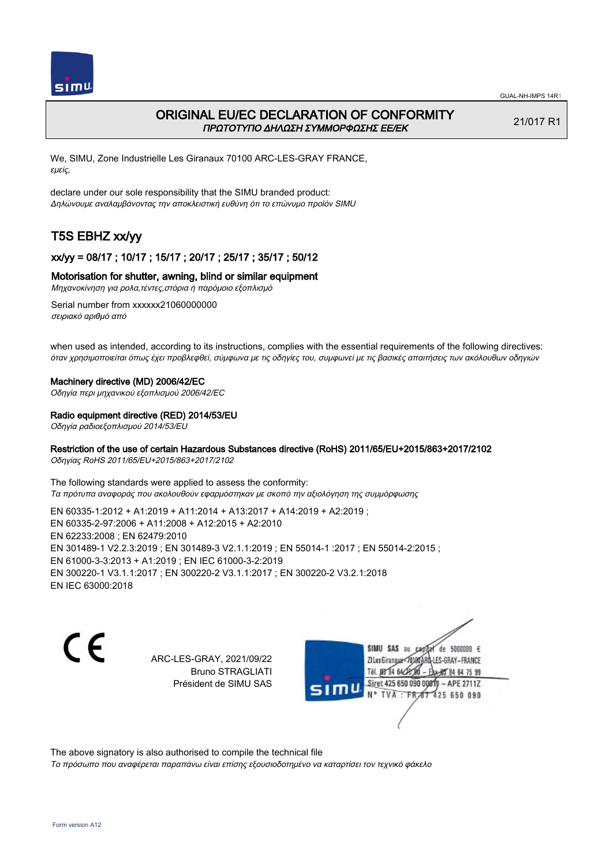

## ORIGINAL EU/EC DECLARATION OF CONFORMITY ΠΡΩΤΟΤΥΠΟ ΔΗΛΩΣΗ ΣΥΜΜΟΡΦΩΣΗΣ ΕΕ/EK

21/017 R1

We, SIMU, Zone Industrielle Les Giranaux 70100 ARC-LES-GRAY FRANCE, εμείς,

declare under our sole responsibility that the SIMU branded product: Δηλώνουμε αναλαμβάνοντας την αποκλειστική ευθύνη ότι το επώνυμο προϊόν SIMU

# T5S EBHZ xx/yy

## xx/yy = 08/17 ; 10/17 ; 15/17 ; 20/17 ; 25/17 ; 35/17 ; 50/12

#### Motorisation for shutter, awning, blind or similar equipment

Μηχανοκίνηση για ρολα,τέντες,στόρια ή παρόμοιο εξοπλισμό

Serial number from xxxxxx21060000000 σειριακό αριθμό από

when used as intended, according to its instructions, complies with the essential requirements of the following directives: όταν χρησιμοποιείται όπως έχει προβλεφθεί, σύμφωνα με τις οδηγίες του, συμφωνεί με τις βασικές απαιτήσεις των ακόλουθων οδηγιών

#### Machinery directive (MD) 2006/42/EC

Οδηγία περι μηχανικού εξοπλισμού 2006/42/EC

#### Radio equipment directive (RED) 2014/53/EU

Οδηγία ραδιοεξοπλισμού 2014/53/EU

#### Restriction of the use of certain Hazardous Substances directive (RoHS) 2011/65/EU+2015/863+2017/2102

Οδηγίας RoHS 2011/65/EU+2015/863+2017/2102

The following standards were applied to assess the conformity: Τα πρότυπα αναφοράς που ακολουθούν εφαρμόστηκαν με σκοπό την αξιολόγηση της συμμόρφωσης

EN 60335‑1:2012 + A1:2019 + A11:2014 + A13:2017 + A14:2019 + A2:2019 ; EN 60335‑2‑97:2006 + A11:2008 + A12:2015 + A2:2010 EN 62233:2008 ; EN 62479:2010 EN 301489‑1 V2.2.3:2019 ; EN 301489‑3 V2.1.1:2019 ; EN 55014‑1 :2017 ; EN 55014‑2:2015 ; EN 61000‑3‑3:2013 + A1:2019 ; EN IEC 61000‑3‑2:2019 EN 300220‑1 V3.1.1:2017 ; EN 300220‑2 V3.1.1:2017 ; EN 300220‑2 V3.2.1:2018 EN IEC 63000:2018

C E

ARC-LES-GRAY, 2021/09/22 Bruno STRAGLIATI Président de SIMU SAS

SIMU SAS au de 5000000 € ZI Les Giranaux<sup>®</sup> ES-GRAY-FRANCE Tél. 08 84 64 2 64 75 99 Siret 425 650 090 00811  $-$  APE 2711Z **TVA** 425 650 090

The above signatory is also authorised to compile the technical file

Το πρόσωπο που αναφέρεται παραπάνω είναι επίσης εξουσιοδοτημένο να καταρτίσει τον τεχνικό φάκελο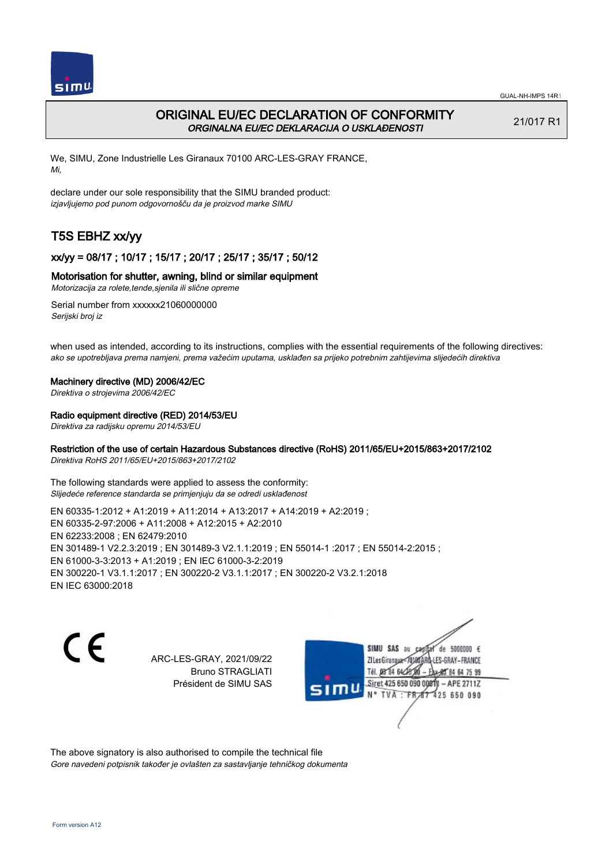

# ORIGINAL EU/EC DECLARATION OF CONFORMITY ORGINALNA EU/EC DEKLARACIJA O USKLAĐENOSTI

21/017 R1

We, SIMU, Zone Industrielle Les Giranaux 70100 ARC-LES-GRAY FRANCE, Mi,

declare under our sole responsibility that the SIMU branded product: izjavljujemo pod punom odgovornošču da je proizvod marke SIMU

# T5S EBHZ xx/yy

## xx/yy = 08/17 ; 10/17 ; 15/17 ; 20/17 ; 25/17 ; 35/17 ; 50/12

## Motorisation for shutter, awning, blind or similar equipment

Motorizacija za rolete,tende,sjenila ili slične opreme

Serial number from xxxxxx21060000000 Serijski broj iz

when used as intended, according to its instructions, complies with the essential requirements of the following directives: ako se upotrebljava prema namjeni, prema važećim uputama, usklađen sa prijeko potrebnim zahtijevima slijedećih direktiva

#### Machinery directive (MD) 2006/42/EC

Direktiva o strojevima 2006/42/EC

### Radio equipment directive (RED) 2014/53/EU

Direktiva za radijsku opremu 2014/53/EU

### Restriction of the use of certain Hazardous Substances directive (RoHS) 2011/65/EU+2015/863+2017/2102

Direktiva RoHS 2011/65/EU+2015/863+2017/2102

The following standards were applied to assess the conformity: Slijedeće reference standarda se primjenjuju da se odredi usklađenost

EN 60335‑1:2012 + A1:2019 + A11:2014 + A13:2017 + A14:2019 + A2:2019 ; EN 60335‑2‑97:2006 + A11:2008 + A12:2015 + A2:2010 EN 62233:2008 ; EN 62479:2010 EN 301489‑1 V2.2.3:2019 ; EN 301489‑3 V2.1.1:2019 ; EN 55014‑1 :2017 ; EN 55014‑2:2015 ; EN 61000‑3‑3:2013 + A1:2019 ; EN IEC 61000‑3‑2:2019 EN 300220‑1 V3.1.1:2017 ; EN 300220‑2 V3.1.1:2017 ; EN 300220‑2 V3.2.1:2018 EN IEC 63000:2018

CE

ARC-LES-GRAY, 2021/09/22 Bruno STRAGLIATI Président de SIMU SAS

SIMU SAS au de 5000000 € ZI Les Giranaux<sup>®</sup> ES-GRAY-FRANCE 64 75 99 Siret 425 650 090 00811  $-$  APE 2711Z TVA 425 650 090

The above signatory is also authorised to compile the technical file Gore navedeni potpisnik također je ovlašten za sastavljanje tehničkog dokumenta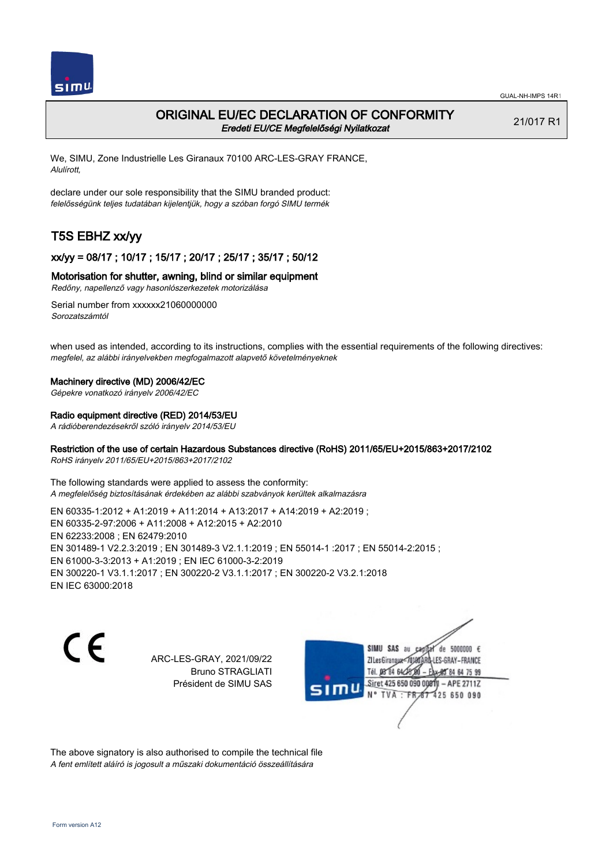

## ORIGINAL EU/EC DECLARATION OF CONFORMITY Eredeti EU/CE Megfelelőségi Nyilatkozat

21/017 R1

We, SIMU, Zone Industrielle Les Giranaux 70100 ARC-LES-GRAY FRANCE, Alulírott,

declare under our sole responsibility that the SIMU branded product: felelősségünk teljes tudatában kijelentjük, hogy a szóban forgó SIMU termék

# T5S EBHZ xx/yy

## xx/yy = 08/17 ; 10/17 ; 15/17 ; 20/17 ; 25/17 ; 35/17 ; 50/12

#### Motorisation for shutter, awning, blind or similar equipment

Redőny, napellenző vagy hasonlószerkezetek motorizálása

Serial number from xxxxxx21060000000 Sorozatszámtól

when used as intended, according to its instructions, complies with the essential requirements of the following directives: megfelel, az alábbi irányelvekben megfogalmazott alapvető követelményeknek

#### Machinery directive (MD) 2006/42/EC

Gépekre vonatkozó irányelv 2006/42/EC

#### Radio equipment directive (RED) 2014/53/EU

A rádióberendezésekről szóló irányelv 2014/53/EU

### Restriction of the use of certain Hazardous Substances directive (RoHS) 2011/65/EU+2015/863+2017/2102

RoHS irányelv 2011/65/EU+2015/863+2017/2102

The following standards were applied to assess the conformity: A megfelelőség biztosításának érdekében az alábbi szabványok kerültek alkalmazásra

EN 60335‑1:2012 + A1:2019 + A11:2014 + A13:2017 + A14:2019 + A2:2019 ; EN 60335‑2‑97:2006 + A11:2008 + A12:2015 + A2:2010 EN 62233:2008 ; EN 62479:2010 EN 301489‑1 V2.2.3:2019 ; EN 301489‑3 V2.1.1:2019 ; EN 55014‑1 :2017 ; EN 55014‑2:2015 ; EN 61000‑3‑3:2013 + A1:2019 ; EN IEC 61000‑3‑2:2019 EN 300220‑1 V3.1.1:2017 ; EN 300220‑2 V3.1.1:2017 ; EN 300220‑2 V3.2.1:2018 EN IEC 63000:2018

C E

ARC-LES-GRAY, 2021/09/22 Bruno STRAGLIATI Président de SIMU SAS

SIMU SAS au de 5000000 € **ZILesGiranaux** ES-GRAY-FRANCE 64 75 99 Siret 425 650 090 00811  $-$  APE 2711Z TVA 425 650 090

The above signatory is also authorised to compile the technical file A fent említett aláíró is jogosult a műszaki dokumentáció összeállítására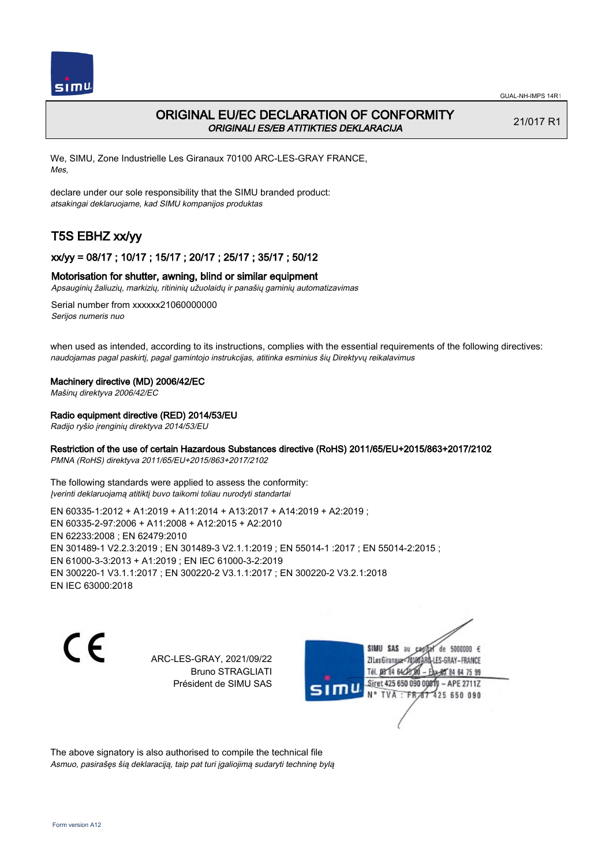

## ORIGINAL EU/EC DECLARATION OF CONFORMITY ORIGINALI ES/EB ATITIKTIES DEKLARACIJA

21/017 R1

We, SIMU, Zone Industrielle Les Giranaux 70100 ARC-LES-GRAY FRANCE, Mes,

declare under our sole responsibility that the SIMU branded product: atsakingai deklaruojame, kad SIMU kompanijos produktas

# T5S EBHZ xx/yy

## xx/yy = 08/17 ; 10/17 ; 15/17 ; 20/17 ; 25/17 ; 35/17 ; 50/12

#### Motorisation for shutter, awning, blind or similar equipment

Apsauginių žaliuzių, markizių, ritininių užuolaidų ir panašių gaminių automatizavimas

Serial number from xxxxxx21060000000 Serijos numeris nuo

when used as intended, according to its instructions, complies with the essential requirements of the following directives: naudojamas pagal paskirtį, pagal gamintojo instrukcijas, atitinka esminius šių Direktyvų reikalavimus

#### Machinery directive (MD) 2006/42/EC

Mašinų direktyva 2006/42/EC

#### Radio equipment directive (RED) 2014/53/EU

Radijo ryšio įrenginių direktyva 2014/53/EU

### Restriction of the use of certain Hazardous Substances directive (RoHS) 2011/65/EU+2015/863+2017/2102

PMNA (RoHS) direktyva 2011/65/EU+2015/863+2017/2102

The following standards were applied to assess the conformity: Įverinti deklaruojamą atitiktį buvo taikomi toliau nurodyti standartai

EN 60335‑1:2012 + A1:2019 + A11:2014 + A13:2017 + A14:2019 + A2:2019 ; EN 60335‑2‑97:2006 + A11:2008 + A12:2015 + A2:2010 EN 62233:2008 ; EN 62479:2010 EN 301489‑1 V2.2.3:2019 ; EN 301489‑3 V2.1.1:2019 ; EN 55014‑1 :2017 ; EN 55014‑2:2015 ; EN 61000‑3‑3:2013 + A1:2019 ; EN IEC 61000‑3‑2:2019 EN 300220‑1 V3.1.1:2017 ; EN 300220‑2 V3.1.1:2017 ; EN 300220‑2 V3.2.1:2018 EN IEC 63000:2018

CE

ARC-LES-GRAY, 2021/09/22 Bruno STRAGLIATI Président de SIMU SAS

SIMU SAS au de 5000000 € **ZILesGirangua** ES-GRAY-FRANCE 64 75 99 Siret 425 650 090 00811  $-$  APE 2711Z N° TVA 425 650 090

The above signatory is also authorised to compile the technical file Asmuo, pasirašęs šią deklaraciją, taip pat turi įgaliojimą sudaryti techninę bylą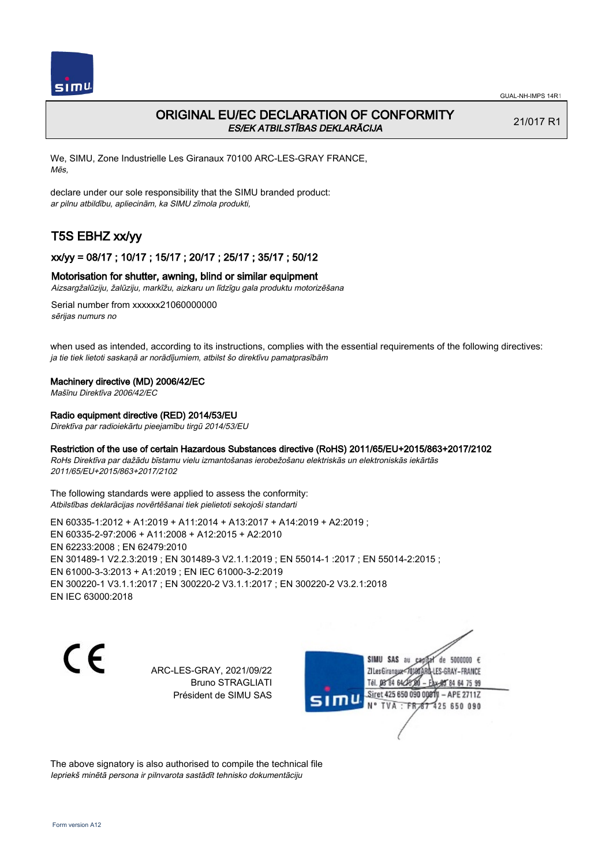

## ORIGINAL EU/EC DECLARATION OF CONFORMITY ES/EK ATBILSTĪBAS DEKLARĀCIJA

21/017 R1

We, SIMU, Zone Industrielle Les Giranaux 70100 ARC-LES-GRAY FRANCE, Mēs,

declare under our sole responsibility that the SIMU branded product: ar pilnu atbildību, apliecinām, ka SIMU zīmola produkti,

# T5S EBHZ xx/yy

### xx/yy = 08/17 ; 10/17 ; 15/17 ; 20/17 ; 25/17 ; 35/17 ; 50/12

#### Motorisation for shutter, awning, blind or similar equipment

Aizsargžalūziju, žalūziju, markīžu, aizkaru un līdzīgu gala produktu motorizēšana

Serial number from xxxxxx21060000000 sērijas numurs no

when used as intended, according to its instructions, complies with the essential requirements of the following directives: ja tie tiek lietoti saskaņā ar norādījumiem, atbilst šo direktīvu pamatprasībām

#### Machinery directive (MD) 2006/42/EC

Mašīnu Direktīva 2006/42/EC

#### Radio equipment directive (RED) 2014/53/EU

Direktīva par radioiekārtu pieejamību tirgū 2014/53/EU

#### Restriction of the use of certain Hazardous Substances directive (RoHS) 2011/65/EU+2015/863+2017/2102

RoHs Direktīva par dažādu bīstamu vielu izmantošanas ierobežošanu elektriskās un elektroniskās iekārtās 2011/65/EU+2015/863+2017/2102

The following standards were applied to assess the conformity: Atbilstības deklarācijas novērtēšanai tiek pielietoti sekojoši standarti

EN 60335‑1:2012 + A1:2019 + A11:2014 + A13:2017 + A14:2019 + A2:2019 ; EN 60335‑2‑97:2006 + A11:2008 + A12:2015 + A2:2010 EN 62233:2008 ; EN 62479:2010 EN 301489‑1 V2.2.3:2019 ; EN 301489‑3 V2.1.1:2019 ; EN 55014‑1 :2017 ; EN 55014‑2:2015 ; EN 61000‑3‑3:2013 + A1:2019 ; EN IEC 61000‑3‑2:2019 EN 300220‑1 V3.1.1:2017 ; EN 300220‑2 V3.1.1:2017 ; EN 300220‑2 V3.2.1:2018 EN IEC 63000:2018

 $\epsilon$ 

ARC-LES-GRAY, 2021/09/22 Bruno STRAGLIATI Président de SIMU SAS



The above signatory is also authorised to compile the technical file Iepriekš minētā persona ir pilnvarota sastādīt tehnisko dokumentāciju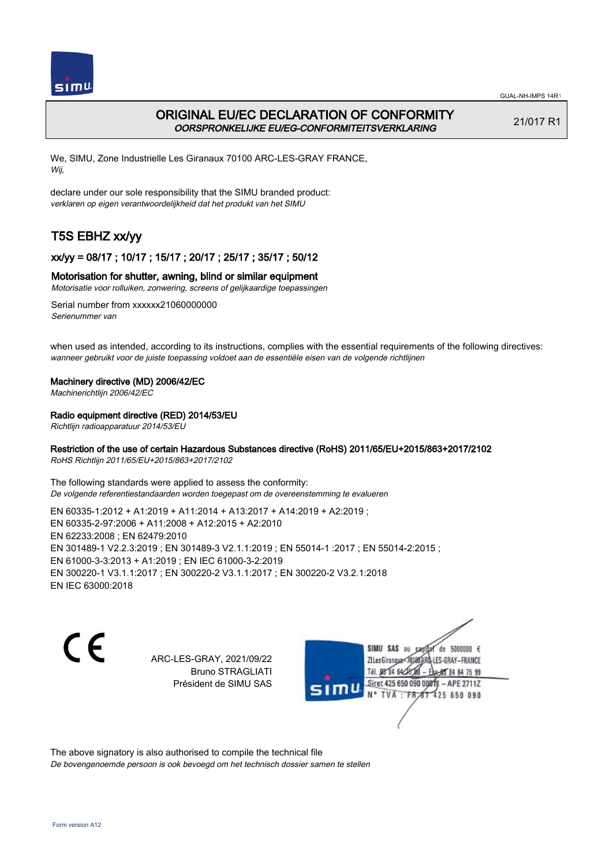

# ORIGINAL EU/EC DECLARATION OF CONFORMITY OORSPRONKELIJKE EU/EG-CONFORMITEITSVERKLARING

21/017 R1

We, SIMU, Zone Industrielle Les Giranaux 70100 ARC-LES-GRAY FRANCE, Wij,

declare under our sole responsibility that the SIMU branded product: verklaren op eigen verantwoordelijkheid dat het produkt van het SIMU

# T5S EBHZ xx/yy

## xx/yy = 08/17 ; 10/17 ; 15/17 ; 20/17 ; 25/17 ; 35/17 ; 50/12

## Motorisation for shutter, awning, blind or similar equipment

Motorisatie voor rolluiken, zonwering, screens of gelijkaardige toepassingen

Serial number from xxxxxx21060000000 Serienummer van

when used as intended, according to its instructions, complies with the essential requirements of the following directives: wanneer gebruikt voor de juiste toepassing voldoet aan de essentiële eisen van de volgende richtlijnen

## Machinery directive (MD) 2006/42/EC

Machinerichtlijn 2006/42/EC

## Radio equipment directive (RED) 2014/53/EU

Richtlijn radioapparatuur 2014/53/EU

## Restriction of the use of certain Hazardous Substances directive (RoHS) 2011/65/EU+2015/863+2017/2102

RoHS Richtlijn 2011/65/EU+2015/863+2017/2102

The following standards were applied to assess the conformity: De volgende referentiestandaarden worden toegepast om de overeenstemming te evalueren

EN 60335‑1:2012 + A1:2019 + A11:2014 + A13:2017 + A14:2019 + A2:2019 ; EN 60335‑2‑97:2006 + A11:2008 + A12:2015 + A2:2010 EN 62233:2008 ; EN 62479:2010 EN 301489‑1 V2.2.3:2019 ; EN 301489‑3 V2.1.1:2019 ; EN 55014‑1 :2017 ; EN 55014‑2:2015 ; EN 61000‑3‑3:2013 + A1:2019 ; EN IEC 61000‑3‑2:2019 EN 300220‑1 V3.1.1:2017 ; EN 300220‑2 V3.1.1:2017 ; EN 300220‑2 V3.2.1:2018 EN IEC 63000:2018

CE

ARC-LES-GRAY, 2021/09/22 Bruno STRAGLIATI Président de SIMU SAS

SIMU SAS au de 5000000 € **ZILesGiranaux** ES-GRAY-FRANCE 64 75 99 Siret 425 650 090 00811  $-$  APE 2711Z 425 650 090

The above signatory is also authorised to compile the technical file De bovengenoemde persoon is ook bevoegd om het technisch dossier samen te stellen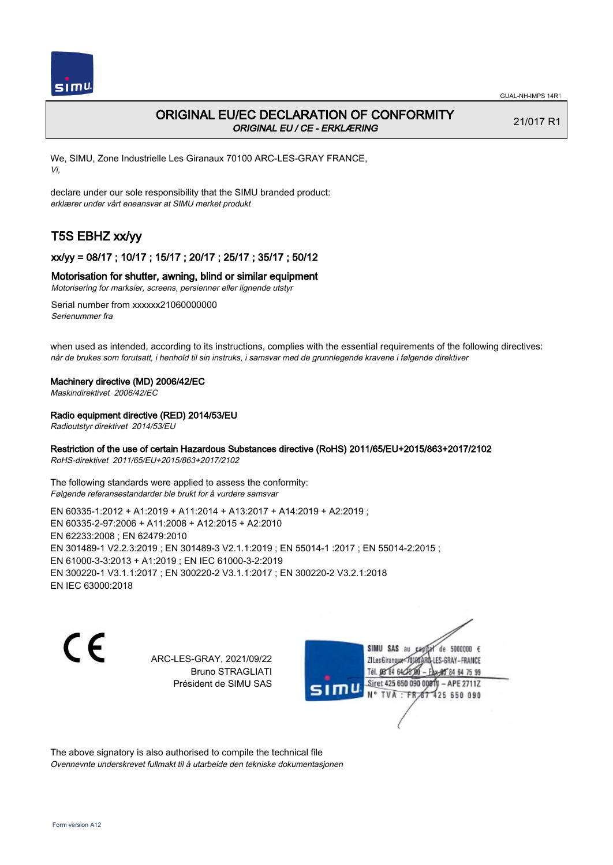

## ORIGINAL EU/EC DECLARATION OF CONFORMITY ORIGINAL EU / CE - ERKLÆRING

21/017 R1

We, SIMU, Zone Industrielle Les Giranaux 70100 ARC-LES-GRAY FRANCE, Vi,

declare under our sole responsibility that the SIMU branded product: erklærer under vårt eneansvar at SIMU merket produkt

# T5S EBHZ xx/yy

## xx/yy = 08/17 ; 10/17 ; 15/17 ; 20/17 ; 25/17 ; 35/17 ; 50/12

#### Motorisation for shutter, awning, blind or similar equipment

Motorisering for marksier, screens, persienner eller lignende utstyr

Serial number from xxxxxx21060000000 Serienummer fra

when used as intended, according to its instructions, complies with the essential requirements of the following directives: når de brukes som forutsatt, i henhold til sin instruks, i samsvar med de grunnlegende kravene i følgende direktiver

#### Machinery directive (MD) 2006/42/EC

Maskindirektivet 2006/42/EC

### Radio equipment directive (RED) 2014/53/EU

Radioutstyr direktivet 2014/53/EU

### Restriction of the use of certain Hazardous Substances directive (RoHS) 2011/65/EU+2015/863+2017/2102

RoHS-direktivet 2011/65/EU+2015/863+2017/2102

The following standards were applied to assess the conformity: Følgende referansestandarder ble brukt for å vurdere samsvar

EN 60335‑1:2012 + A1:2019 + A11:2014 + A13:2017 + A14:2019 + A2:2019 ; EN 60335‑2‑97:2006 + A11:2008 + A12:2015 + A2:2010 EN 62233:2008 ; EN 62479:2010 EN 301489‑1 V2.2.3:2019 ; EN 301489‑3 V2.1.1:2019 ; EN 55014‑1 :2017 ; EN 55014‑2:2015 ; EN 61000‑3‑3:2013 + A1:2019 ; EN IEC 61000‑3‑2:2019 EN 300220‑1 V3.1.1:2017 ; EN 300220‑2 V3.1.1:2017 ; EN 300220‑2 V3.2.1:2018 EN IEC 63000:2018

C E

ARC-LES-GRAY, 2021/09/22 Bruno STRAGLIATI Président de SIMU SAS

SIMU SAS au de 5000000 € **ZILesGirangux** ES-GRAY-FRANCE 64 75 99 Siret 425 650 090 00811  $-$  APE 2711Z **TVA** 425 650 090

The above signatory is also authorised to compile the technical file Ovennevnte underskrevet fullmakt til å utarbeide den tekniske dokumentasjonen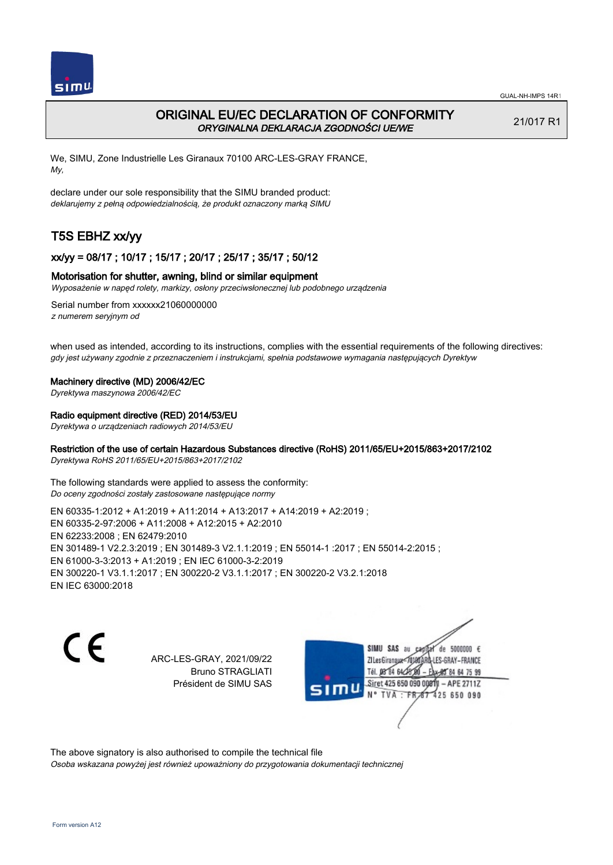

## ORIGINAL EU/EC DECLARATION OF CONFORMITY ORYGINALNA DEKLARACJA ZGODNOŚCI UE/WE

21/017 R1

We, SIMU, Zone Industrielle Les Giranaux 70100 ARC-LES-GRAY FRANCE, My,

declare under our sole responsibility that the SIMU branded product: deklarujemy z pełną odpowiedzialnością, że produkt oznaczony marką SIMU

# T5S EBHZ xx/yy

## xx/yy = 08/17 ; 10/17 ; 15/17 ; 20/17 ; 25/17 ; 35/17 ; 50/12

### Motorisation for shutter, awning, blind or similar equipment

Wyposażenie w napęd rolety, markizy, osłony przeciwsłonecznej lub podobnego urządzenia

Serial number from xxxxxx21060000000 z numerem seryjnym od

when used as intended, according to its instructions, complies with the essential requirements of the following directives: gdy jest używany zgodnie z przeznaczeniem i instrukcjami, spełnia podstawowe wymagania następujących Dyrektyw

#### Machinery directive (MD) 2006/42/EC

Dyrektywa maszynowa 2006/42/EC

#### Radio equipment directive (RED) 2014/53/EU

Dyrektywa o urządzeniach radiowych 2014/53/EU

### Restriction of the use of certain Hazardous Substances directive (RoHS) 2011/65/EU+2015/863+2017/2102

Dyrektywa RoHS 2011/65/EU+2015/863+2017/2102

The following standards were applied to assess the conformity: Do oceny zgodności zostały zastosowane następujące normy

EN 60335‑1:2012 + A1:2019 + A11:2014 + A13:2017 + A14:2019 + A2:2019 ; EN 60335‑2‑97:2006 + A11:2008 + A12:2015 + A2:2010 EN 62233:2008 ; EN 62479:2010 EN 301489‑1 V2.2.3:2019 ; EN 301489‑3 V2.1.1:2019 ; EN 55014‑1 :2017 ; EN 55014‑2:2015 ; EN 61000‑3‑3:2013 + A1:2019 ; EN IEC 61000‑3‑2:2019 EN 300220‑1 V3.1.1:2017 ; EN 300220‑2 V3.1.1:2017 ; EN 300220‑2 V3.2.1:2018 EN IEC 63000:2018

C E

ARC-LES-GRAY, 2021/09/22 Bruno STRAGLIATI Président de SIMU SAS

SIMU SAS au de 5000000 € ZI Les Giranaux<sup>®</sup> ES-GRAY-FRANCE 64 75 99 Siret 425 650 090 00811  $-$  APE 2711Z **TVA** 425 650 090

The above signatory is also authorised to compile the technical file Osoba wskazana powyżej jest również upoważniony do przygotowania dokumentacji technicznej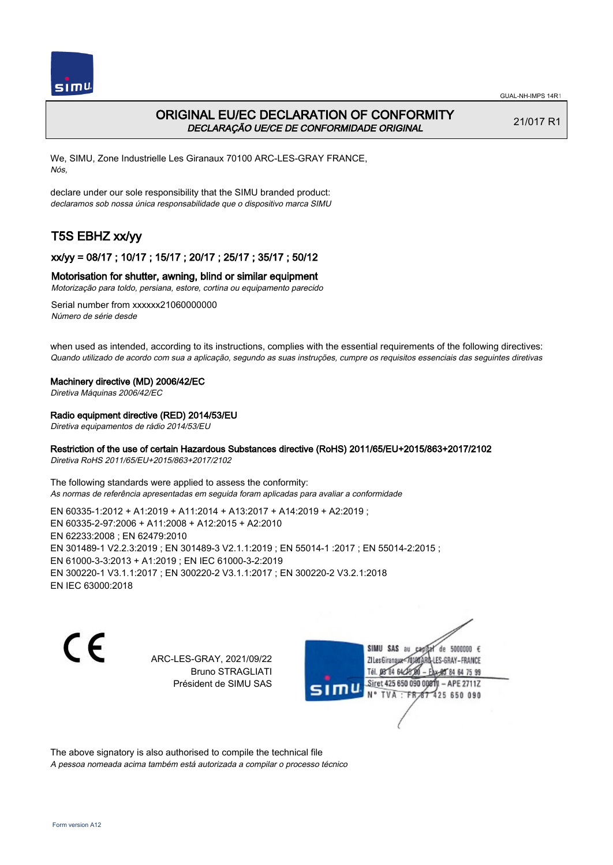

## ORIGINAL EU/EC DECLARATION OF CONFORMITY DECLARAÇÃO UE/CE DE CONFORMIDADE ORIGINAL

21/017 R1

We, SIMU, Zone Industrielle Les Giranaux 70100 ARC-LES-GRAY FRANCE, Nós,

declare under our sole responsibility that the SIMU branded product: declaramos sob nossa única responsabilidade que o dispositivo marca SIMU

# T5S EBHZ xx/yy

## xx/yy = 08/17 ; 10/17 ; 15/17 ; 20/17 ; 25/17 ; 35/17 ; 50/12

#### Motorisation for shutter, awning, blind or similar equipment

Motorização para toldo, persiana, estore, cortina ou equipamento parecido

Serial number from xxxxxx21060000000 Número de série desde

when used as intended, according to its instructions, complies with the essential requirements of the following directives: Quando utilizado de acordo com sua a aplicação, segundo as suas instruções, cumpre os requisitos essenciais das seguintes diretivas

#### Machinery directive (MD) 2006/42/EC

Diretiva Máquinas 2006/42/EC

#### Radio equipment directive (RED) 2014/53/EU

Diretiva equipamentos de rádio 2014/53/EU

### Restriction of the use of certain Hazardous Substances directive (RoHS) 2011/65/EU+2015/863+2017/2102

Diretiva RoHS 2011/65/EU+2015/863+2017/2102

The following standards were applied to assess the conformity: As normas de referência apresentadas em seguida foram aplicadas para avaliar a conformidade

EN 60335‑1:2012 + A1:2019 + A11:2014 + A13:2017 + A14:2019 + A2:2019 ; EN 60335‑2‑97:2006 + A11:2008 + A12:2015 + A2:2010 EN 62233:2008 ; EN 62479:2010 EN 301489‑1 V2.2.3:2019 ; EN 301489‑3 V2.1.1:2019 ; EN 55014‑1 :2017 ; EN 55014‑2:2015 ; EN 61000‑3‑3:2013 + A1:2019 ; EN IEC 61000‑3‑2:2019 EN 300220‑1 V3.1.1:2017 ; EN 300220‑2 V3.1.1:2017 ; EN 300220‑2 V3.2.1:2018 EN IEC 63000:2018

CE

ARC-LES-GRAY, 2021/09/22 Bruno STRAGLIATI Président de SIMU SAS

SIMU SAS au de 5000000 € **ZILesGiranaux** ES-GRAY-FRANCE 64 75 99 Siret 425 650 090 00811  $-$  APE 2711Z **TVA** 425 650 090

The above signatory is also authorised to compile the technical file A pessoa nomeada acima também está autorizada a compilar o processo técnico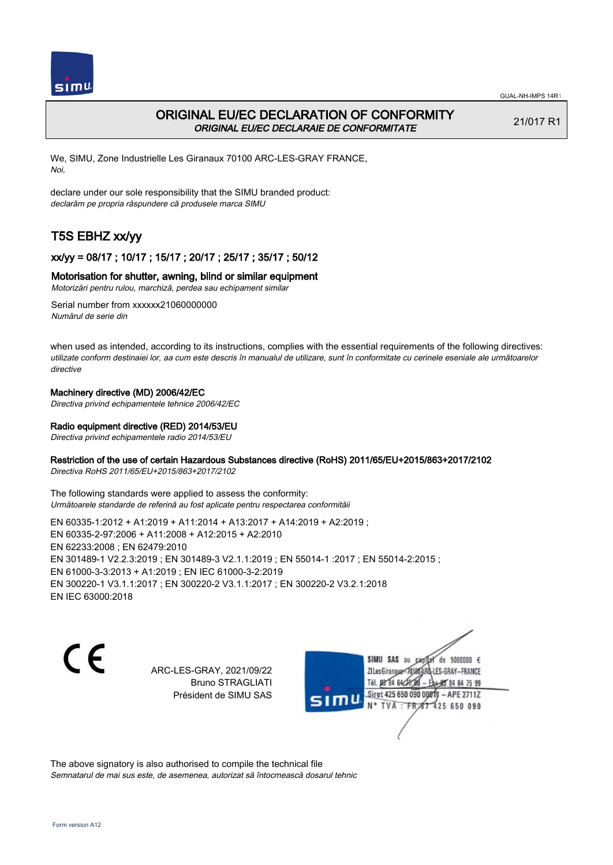

# ORIGINAL EU/EC DECLARATION OF CONFORMITY ORIGINAL EU/EC DECLARAIE DE CONFORMITATE

21/017 R1

We, SIMU, Zone Industrielle Les Giranaux 70100 ARC-LES-GRAY FRANCE, Noi,

declare under our sole responsibility that the SIMU branded product: declarăm pe propria răspundere că produsele marca SIMU

# T5S EBHZ xx/yy

## xx/yy = 08/17 ; 10/17 ; 15/17 ; 20/17 ; 25/17 ; 35/17 ; 50/12

### Motorisation for shutter, awning, blind or similar equipment

Motorizări pentru rulou, marchiză, perdea sau echipament similar

Serial number from xxxxxx21060000000 Numărul de serie din

when used as intended, according to its instructions, complies with the essential requirements of the following directives: utilizate conform destinaiei lor, aa cum este descris în manualul de utilizare, sunt în conformitate cu cerinele eseniale ale următoarelor directive

## Machinery directive (MD) 2006/42/EC

Directiva privind echipamentele tehnice 2006/42/EC

## Radio equipment directive (RED) 2014/53/EU

Directiva privind echipamentele radio 2014/53/EU

### Restriction of the use of certain Hazardous Substances directive (RoHS) 2011/65/EU+2015/863+2017/2102

Directiva RoHS 2011/65/EU+2015/863+2017/2102

The following standards were applied to assess the conformity: Următoarele standarde de referină au fost aplicate pentru respectarea conformităii

EN 60335‑1:2012 + A1:2019 + A11:2014 + A13:2017 + A14:2019 + A2:2019 ; EN 60335‑2‑97:2006 + A11:2008 + A12:2015 + A2:2010 EN 62233:2008 ; EN 62479:2010 EN 301489‑1 V2.2.3:2019 ; EN 301489‑3 V2.1.1:2019 ; EN 55014‑1 :2017 ; EN 55014‑2:2015 ; EN 61000‑3‑3:2013 + A1:2019 ; EN IEC 61000‑3‑2:2019 EN 300220‑1 V3.1.1:2017 ; EN 300220‑2 V3.1.1:2017 ; EN 300220‑2 V3.2.1:2018 EN IEC 63000:2018

 $\epsilon$ 

ARC-LES-GRAY, 2021/09/22 Bruno STRAGLIATI Président de SIMU SAS



The above signatory is also authorised to compile the technical file Semnatarul de mai sus este, de asemenea, autorizat să întocmească dosarul tehnic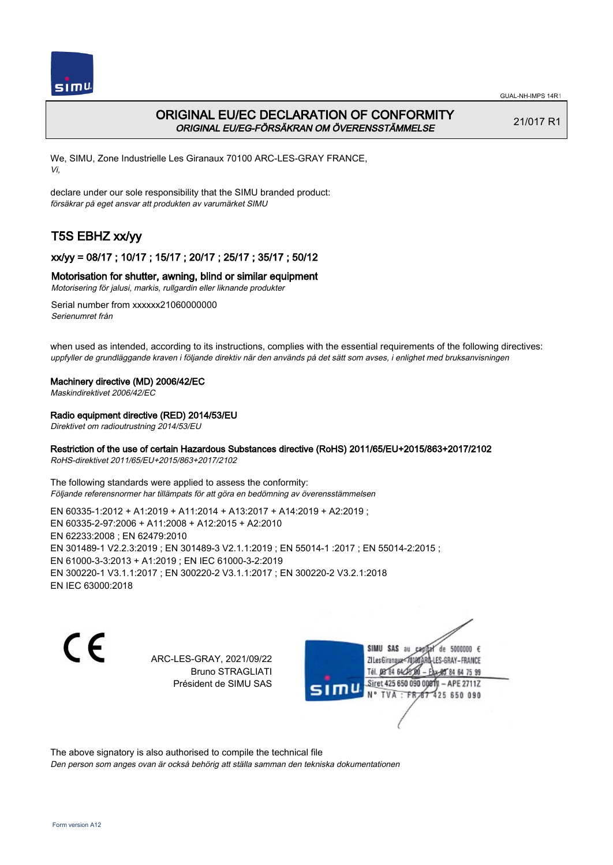

# ORIGINAL EU/EC DECLARATION OF CONFORMITY ORIGINAL EU/EG-FÖRSÄKRAN OM ÖVERENSSTÄMMELSE

21/017 R1

We, SIMU, Zone Industrielle Les Giranaux 70100 ARC-LES-GRAY FRANCE, Vi,

declare under our sole responsibility that the SIMU branded product: försäkrar på eget ansvar att produkten av varumärket SIMU

# T5S EBHZ xx/yy

## xx/yy = 08/17 ; 10/17 ; 15/17 ; 20/17 ; 25/17 ; 35/17 ; 50/12

### Motorisation for shutter, awning, blind or similar equipment

Motorisering för jalusi, markis, rullgardin eller liknande produkter

Serial number from xxxxxx21060000000 Serienumret från

when used as intended, according to its instructions, complies with the essential requirements of the following directives: uppfyller de grundläggande kraven i följande direktiv när den används på det sätt som avses, i enlighet med bruksanvisningen

### Machinery directive (MD) 2006/42/EC

Maskindirektivet 2006/42/EC

### Radio equipment directive (RED) 2014/53/EU

Direktivet om radioutrustning 2014/53/EU

### Restriction of the use of certain Hazardous Substances directive (RoHS) 2011/65/EU+2015/863+2017/2102

RoHS-direktivet 2011/65/EU+2015/863+2017/2102

The following standards were applied to assess the conformity: Följande referensnormer har tillämpats för att göra en bedömning av överensstämmelsen

EN 60335‑1:2012 + A1:2019 + A11:2014 + A13:2017 + A14:2019 + A2:2019 ; EN 60335‑2‑97:2006 + A11:2008 + A12:2015 + A2:2010 EN 62233:2008 ; EN 62479:2010 EN 301489‑1 V2.2.3:2019 ; EN 301489‑3 V2.1.1:2019 ; EN 55014‑1 :2017 ; EN 55014‑2:2015 ; EN 61000‑3‑3:2013 + A1:2019 ; EN IEC 61000‑3‑2:2019 EN 300220‑1 V3.1.1:2017 ; EN 300220‑2 V3.1.1:2017 ; EN 300220‑2 V3.2.1:2018 EN IEC 63000:2018

CE

ARC-LES-GRAY, 2021/09/22 Bruno STRAGLIATI Président de SIMU SAS

SIMU SAS au de 5000000 € **ZILesGiranaux** ES-GRAY-FRANCE 64 75 99 Siret 425 650 090 00811  $-$  APE 2711Z 425 650 090

The above signatory is also authorised to compile the technical file

Den person som anges ovan är också behörig att ställa samman den tekniska dokumentationen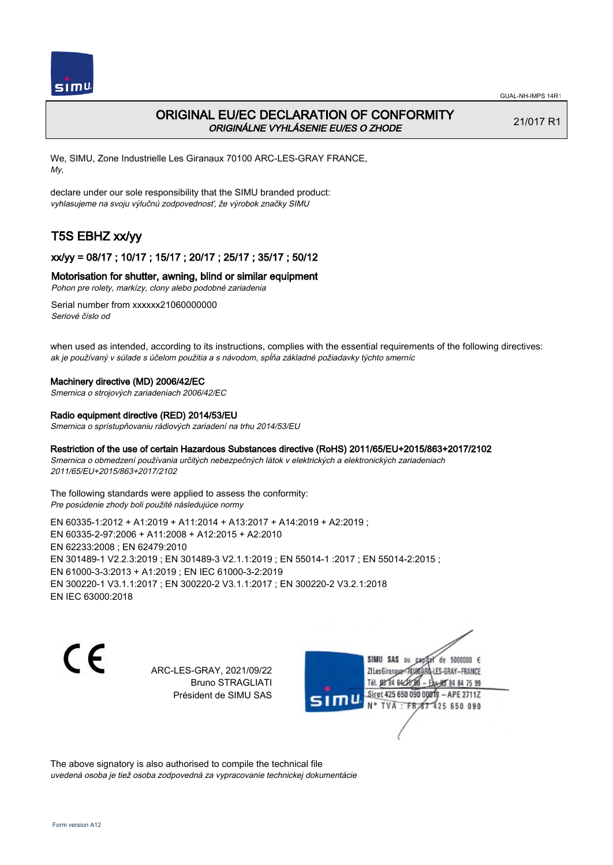

## ORIGINAL EU/EC DECLARATION OF CONFORMITY ORIGINÁLNE VYHLÁSENIE EU/ES O ZHODE

21/017 R1

We, SIMU, Zone Industrielle Les Giranaux 70100 ARC-LES-GRAY FRANCE, My,

declare under our sole responsibility that the SIMU branded product: vyhlasujeme na svoju výlučnú zodpovednosť, že výrobok značky SIMU

# T5S EBHZ xx/yy

## xx/yy = 08/17 ; 10/17 ; 15/17 ; 20/17 ; 25/17 ; 35/17 ; 50/12

#### Motorisation for shutter, awning, blind or similar equipment

Pohon pre rolety, markízy, clony alebo podobné zariadenia

Serial number from xxxxxx21060000000 Seriové číslo od

when used as intended, according to its instructions, complies with the essential requirements of the following directives: ak je používaný v súlade s účelom použitia a s návodom, spĺňa základné požiadavky týchto smerníc

#### Machinery directive (MD) 2006/42/EC

Smernica o strojových zariadeniach 2006/42/EC

#### Radio equipment directive (RED) 2014/53/EU

Smernica o sprístupňovaniu rádiových zariadení na trhu 2014/53/EU

#### Restriction of the use of certain Hazardous Substances directive (RoHS) 2011/65/EU+2015/863+2017/2102

Smernica o obmedzení používania určitých nebezpečných látok v elektrických a elektronických zariadeniach 2011/65/EU+2015/863+2017/2102

The following standards were applied to assess the conformity: Pre posúdenie zhody boli použité následujúce normy

EN 60335‑1:2012 + A1:2019 + A11:2014 + A13:2017 + A14:2019 + A2:2019 ; EN 60335‑2‑97:2006 + A11:2008 + A12:2015 + A2:2010 EN 62233:2008 ; EN 62479:2010 EN 301489‑1 V2.2.3:2019 ; EN 301489‑3 V2.1.1:2019 ; EN 55014‑1 :2017 ; EN 55014‑2:2015 ; EN 61000‑3‑3:2013 + A1:2019 ; EN IEC 61000‑3‑2:2019 EN 300220‑1 V3.1.1:2017 ; EN 300220‑2 V3.1.1:2017 ; EN 300220‑2 V3.2.1:2018 EN IEC 63000:2018

C E

ARC-LES-GRAY, 2021/09/22 Bruno STRAGLIATI Président de SIMU SAS



The above signatory is also authorised to compile the technical file uvedená osoba je tiež osoba zodpovedná za vypracovanie technickej dokumentácie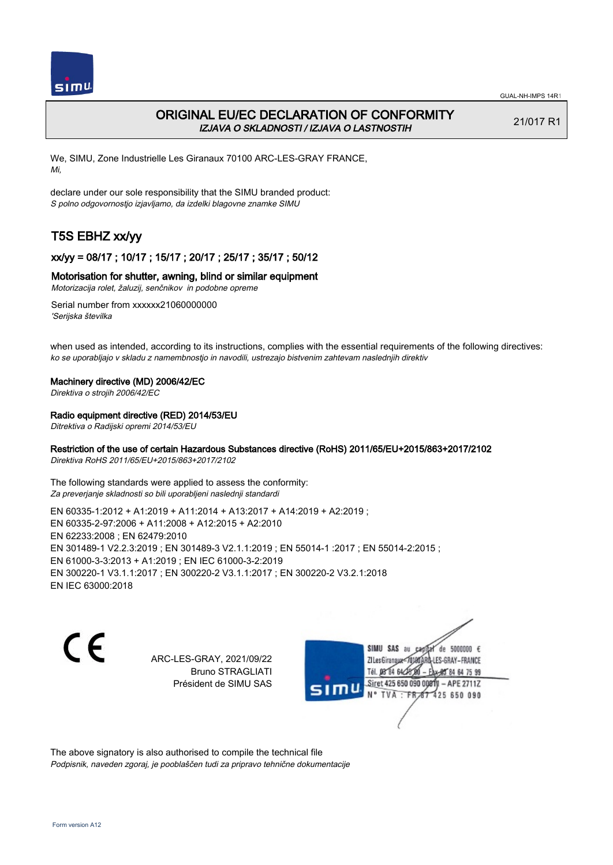

## ORIGINAL EU/EC DECLARATION OF CONFORMITY IZJAVA O SKLADNOSTI / IZJAVA O LASTNOSTIH

21/017 R1

We, SIMU, Zone Industrielle Les Giranaux 70100 ARC-LES-GRAY FRANCE, Mi,

declare under our sole responsibility that the SIMU branded product: S polno odgovornostjo izjavljamo, da izdelki blagovne znamke SIMU

# T5S EBHZ xx/yy

## xx/yy = 08/17 ; 10/17 ; 15/17 ; 20/17 ; 25/17 ; 35/17 ; 50/12

#### Motorisation for shutter, awning, blind or similar equipment

Motorizacija rolet, žaluzij, senčnikov in podobne opreme

Serial number from xxxxxx21060000000 'Serijska številka

when used as intended, according to its instructions, complies with the essential requirements of the following directives: ko se uporabljajo v skladu z namembnostjo in navodili, ustrezajo bistvenim zahtevam naslednjih direktiv

#### Machinery directive (MD) 2006/42/EC

Direktiva o strojih 2006/42/EC

#### Radio equipment directive (RED) 2014/53/EU

Ditrektiva o Radijski opremi 2014/53/EU

### Restriction of the use of certain Hazardous Substances directive (RoHS) 2011/65/EU+2015/863+2017/2102

Direktiva RoHS 2011/65/EU+2015/863+2017/2102

The following standards were applied to assess the conformity: Za preverjanje skladnosti so bili uporabljeni naslednji standardi

EN 60335‑1:2012 + A1:2019 + A11:2014 + A13:2017 + A14:2019 + A2:2019 ; EN 60335‑2‑97:2006 + A11:2008 + A12:2015 + A2:2010 EN 62233:2008 ; EN 62479:2010 EN 301489‑1 V2.2.3:2019 ; EN 301489‑3 V2.1.1:2019 ; EN 55014‑1 :2017 ; EN 55014‑2:2015 ; EN 61000‑3‑3:2013 + A1:2019 ; EN IEC 61000‑3‑2:2019 EN 300220‑1 V3.1.1:2017 ; EN 300220‑2 V3.1.1:2017 ; EN 300220‑2 V3.2.1:2018 EN IEC 63000:2018

CE

ARC-LES-GRAY, 2021/09/22 Bruno STRAGLIATI Président de SIMU SAS

SIMU SAS au de 5000000 € **ZILesGirangua** ES-GRAY-FRANCE 64 75 99 Siret 425 650 090 00811  $-$  APE 2711Z TVA 425 650 090

The above signatory is also authorised to compile the technical file Podpisnik, naveden zgoraj, je pooblaščen tudi za pripravo tehnične dokumentacije